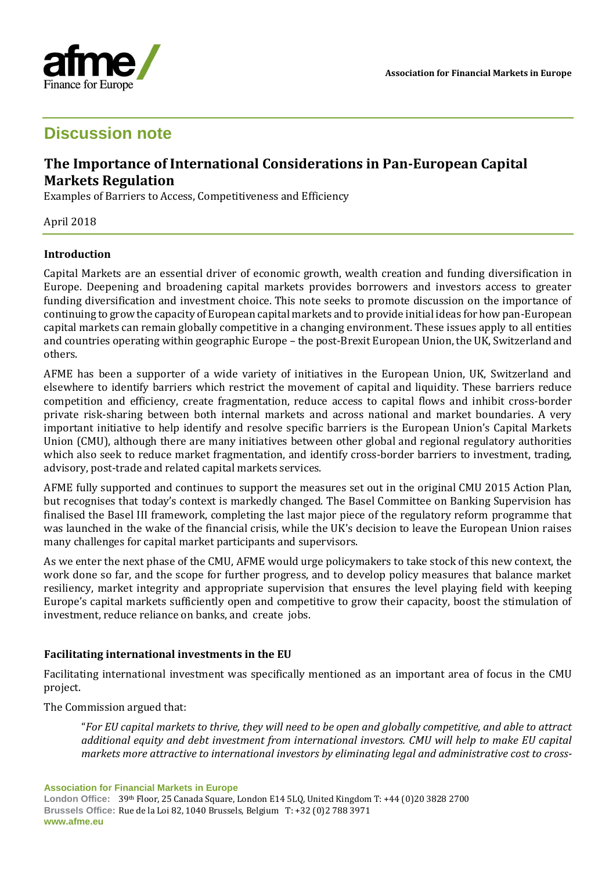



# **Discussion note**

## **The Importance of International Considerations in Pan-European Capital Markets Regulation**

Examples of Barriers to Access, Competitiveness and Efficiency

April 2018

### **Introduction**

Capital Markets are an essential driver of economic growth, wealth creation and funding diversification in Europe. Deepening and broadening capital markets provides borrowers and investors access to greater funding diversification and investment choice. This note seeks to promote discussion on the importance of continuing to grow the capacity of European capital markets and to provide initial ideas for how pan-European capital markets can remain globally competitive in a changing environment. These issues apply to all entities and countries operating within geographic Europe – the post-Brexit European Union, the UK, Switzerland and others.

AFME has been a supporter of a wide variety of initiatives in the European Union, UK, Switzerland and elsewhere to identify barriers which restrict the movement of capital and liquidity. These barriers reduce competition and efficiency, create fragmentation, reduce access to capital flows and inhibit cross-border private risk-sharing between both internal markets and across national and market boundaries. A very important initiative to help identify and resolve specific barriers is the European Union's Capital Markets Union (CMU), although there are many initiatives between other global and regional regulatory authorities which also seek to reduce market fragmentation, and identify cross-border barriers to investment, trading, advisory, post-trade and related capital markets services.

AFME fully supported and continues to support the measures set out in the original CMU 2015 Action Plan, but recognises that today's context is markedly changed. The Basel Committee on Banking Supervision has finalised the Basel III framework, completing the last major piece of the regulatory reform programme that was launched in the wake of the financial crisis, while the UK's decision to leave the European Union raises many challenges for capital market participants and supervisors.

As we enter the next phase of the CMU, AFME would urge policymakers to take stock of this new context, the work done so far, and the scope for further progress, and to develop policy measures that balance market resiliency, market integrity and appropriate supervision that ensures the level playing field with keeping Europe's capital markets sufficiently open and competitive to grow their capacity, boost the stimulation of investment, reduce reliance on banks, and create jobs.

### **Facilitating international investments in the EU**

Facilitating international investment was specifically mentioned as an important area of focus in the CMU project.

The Commission argued that:

"*For EU capital markets to thrive, they will need to be open and globally competitive, and able to attract additional equity and debt investment from international investors. CMU will help to make EU capital markets more attractive to international investors by eliminating legal and administrative cost to cross-*

**Association for Financial Markets in Europe**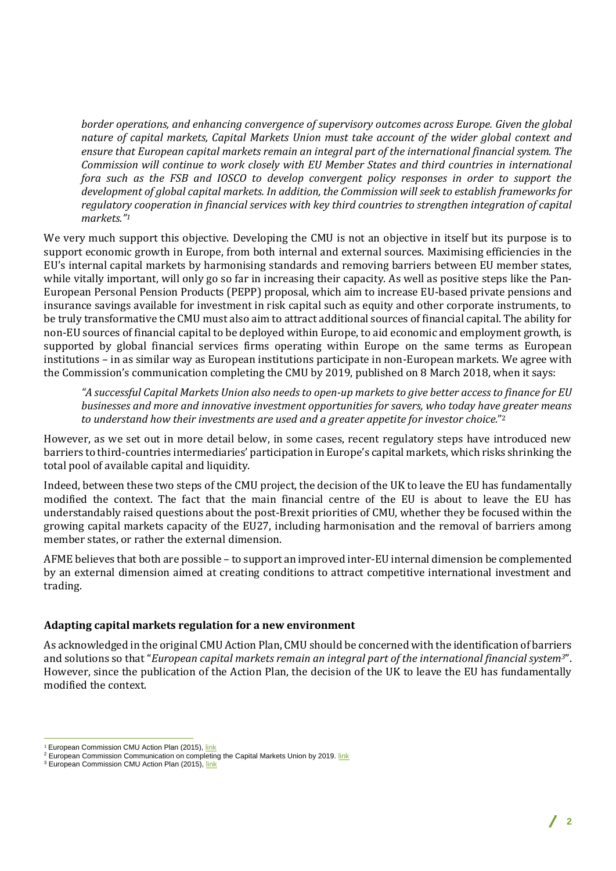*border operations, and enhancing convergence of supervisory outcomes across Europe. Given the global nature of capital markets, Capital Markets Union must take account of the wider global context and ensure that European capital markets remain an integral part of the international financial system. The Commission will continue to work closely with EU Member States and third countries in international fora such as the FSB and IOSCO to develop convergent policy responses in order to support the development of global capital markets. In addition, the Commission will seek to establish frameworks for regulatory cooperation in financial services with key third countries to strengthen integration of capital markets." 1*

We very much support this objective. Developing the CMU is not an objective in itself but its purpose is to support economic growth in Europe, from both internal and external sources. Maximising efficiencies in the EU's internal capital markets by harmonising standards and removing barriers between EU member states, while vitally important, will only go so far in increasing their capacity. As well as positive steps like the Pan-European Personal Pension Products (PEPP) proposal, which aim to increase EU-based private pensions and insurance savings available for investment in risk capital such as equity and other corporate instruments, to be truly transformative the CMU must also aim to attract additional sources of financial capital. The ability for non-EU sources of financial capital to be deployed within Europe, to aid economic and employment growth, is supported by global financial services firms operating within Europe on the same terms as European institutions – in as similar way as European institutions participate in non-European markets. We agree with the Commission's communication completing the CMU by 2019, published on 8 March 2018, when it says:

*"A successful Capital Markets Union also needs to open-up markets to give better access to finance for EU businesses and more and innovative investment opportunities for savers, who today have greater means to understand how their investments are used and a greater appetite for investor choice.*" 2

However, as we set out in more detail below, in some cases, recent regulatory steps have introduced new barriers to third-countries intermediaries' participation in Europe's capital markets, which risks shrinking the total pool of available capital and liquidity.

Indeed, between these two steps of the CMU project, the decision of the UK to leave the EU has fundamentally modified the context. The fact that the main financial centre of the EU is about to leave the EU has understandably raised questions about the post-Brexit priorities of CMU, whether they be focused within the growing capital markets capacity of the EU27, including harmonisation and the removal of barriers among member states, or rather the external dimension.

AFME believes that both are possible – to support an improved inter-EU internal dimension be complemented by an external dimension aimed at creating conditions to attract competitive international investment and trading.

### **Adapting capital markets regulation for a new environment**

As acknowledged in the original CMU Action Plan, CMU should be concerned with the identification of barriers and solutions so that "*European capital markets remain an integral part of the international financial system3*". However, since the publication of the Action Plan, the decision of the UK to leave the EU has fundamentally modified the context.

 $\overline{a}$ 

<sup>&</sup>lt;sup>1</sup> European Commission CMU Action Plan (2015)[, link](http://eur-lex.europa.eu/legal-content/EN/TXT/PDF/?uri=CELEX:52015DC0468&from=EN)

<sup>&</sup>lt;sup>2</sup> European Commission Communication on completing the Capital Markets Union by 2019. [link](http://ec.europa.eu/transparency/regdoc/rep/1/2018/EN/COM-2018-114-F1-EN-MAIN-PART-1.PDF)

<sup>&</sup>lt;sup>3</sup> European Commission CMU Action Plan (2015)[, link](http://eur-lex.europa.eu/legal-content/EN/TXT/PDF/?uri=CELEX:52015DC0468&from=EN)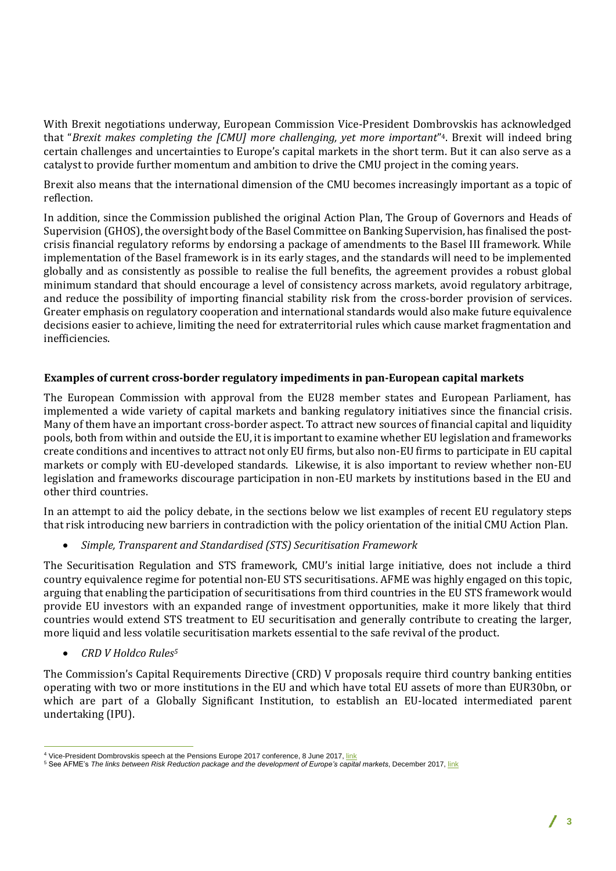With Brexit negotiations underway, European Commission Vice-President Dombrovskis has acknowledged that "*Brexit makes completing the [CMU] more challenging, yet more important*" <sup>4</sup>. Brexit will indeed bring certain challenges and uncertainties to Europe's capital markets in the short term. But it can also serve as a catalyst to provide further momentum and ambition to drive the CMU project in the coming years.

Brexit also means that the international dimension of the CMU becomes increasingly important as a topic of reflection.

In addition, since the Commission published the original Action Plan, The Group of Governors and Heads of Supervision (GHOS), the oversight body of the Basel Committee on Banking Supervision, has finalised the postcrisis financial regulatory reforms by endorsing a package of amendments to the Basel III framework. While implementation of the Basel framework is in its early stages, and the standards will need to be implemented globally and as consistently as possible to realise the full benefits, the agreement provides a robust global minimum standard that should encourage a level of consistency across markets, avoid regulatory arbitrage, and reduce the possibility of importing financial stability risk from the cross-border provision of services. Greater emphasis on regulatory cooperation and international standards would also make future equivalence decisions easier to achieve, limiting the need for extraterritorial rules which cause market fragmentation and inefficiencies.

### **Examples of current cross-border regulatory impediments in pan-European capital markets**

The European Commission with approval from the EU28 member states and European Parliament, has implemented a wide variety of capital markets and banking regulatory initiatives since the financial crisis. Many of them have an important cross-border aspect. To attract new sources of financial capital and liquidity pools, both from within and outside the EU, it is important to examine whether EU legislation and frameworks create conditions and incentives to attract not only EU firms, but also non-EU firms to participate in EU capital markets or comply with EU-developed standards. Likewise, it is also important to review whether non-EU legislation and frameworks discourage participation in non-EU markets by institutions based in the EU and other third countries.

In an attempt to aid the policy debate, in the sections below we list examples of recent EU regulatory steps that risk introducing new barriers in contradiction with the policy orientation of the initial CMU Action Plan.

• *Simple, Transparent and Standardised (STS) Securitisation Framework*

The Securitisation Regulation and STS framework, CMU's initial large initiative, does not include a third country equivalence regime for potential non-EU STS securitisations. AFME was highly engaged on this topic, arguing that enabling the participation of securitisations from third countries in the EU STS framework would provide EU investors with an expanded range of investment opportunities, make it more likely that third countries would extend STS treatment to EU securitisation and generally contribute to creating the larger, more liquid and less volatile securitisation markets essential to the safe revival of the product.

• *CRD V Holdco Rules<sup>5</sup>*

The Commission's Capital Requirements Directive (CRD) V proposals require third country banking entities operating with two or more institutions in the EU and which have total EU assets of more than EUR30bn, or which are part of a Globally Significant Institution, to establish an EU-located intermediated parent undertaking (IPU).

 $\overline{a}$ <sup>4</sup> Vice-President Dombrovskis speech at the Pensions Europe 2017 conference, 8 June 2017[, link](https://ec.europa.eu/commission/commissioners/2014-2019/dombrovskis/announcements/vice-presidents-dombrovskis-speech-pensions-europe-2017-conference_en)

<sup>&</sup>lt;sup>5</sup> See AFME's *The [link](https://www.afme.eu/globalassets/downloads/publications/afme-rrm-and-cmu-2017.pdf)s between Risk Reduction package and the development of Europe's capital markets, December 2017, link*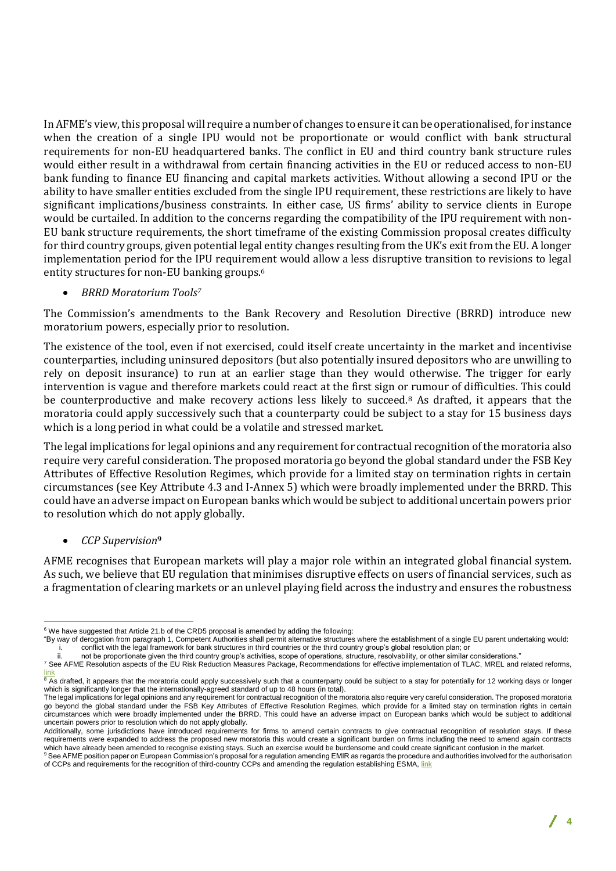In AFME's view, this proposal will require a number of changes to ensure it can be operationalised, for instance when the creation of a single IPU would not be proportionate or would conflict with bank structural requirements for non-EU headquartered banks. The conflict in EU and third country bank structure rules would either result in a withdrawal from certain financing activities in the EU or reduced access to non-EU bank funding to finance EU financing and capital markets activities. Without allowing a second IPU or the ability to have smaller entities excluded from the single IPU requirement, these restrictions are likely to have significant implications/business constraints. In either case, US firms' ability to service clients in Europe would be curtailed. In addition to the concerns regarding the compatibility of the IPU requirement with non-EU bank structure requirements, the short timeframe of the existing Commission proposal creates difficulty for third country groups, given potential legal entity changes resulting from the UK's exit from the EU. A longer implementation period for the IPU requirement would allow a less disruptive transition to revisions to legal entity structures for non-EU banking groups.<sup>6</sup>

• *BRRD Moratorium Tools<sup>7</sup>*

The Commission's amendments to the Bank Recovery and Resolution Directive (BRRD) introduce new moratorium powers, especially prior to resolution.

The existence of the tool, even if not exercised, could itself create uncertainty in the market and incentivise counterparties, including uninsured depositors (but also potentially insured depositors who are unwilling to rely on deposit insurance) to run at an earlier stage than they would otherwise. The trigger for early intervention is vague and therefore markets could react at the first sign or rumour of difficulties. This could be counterproductive and make recovery actions less likely to succeed.<sup>8</sup> As drafted, it appears that the moratoria could apply successively such that a counterparty could be subject to a stay for 15 business days which is a long period in what could be a volatile and stressed market.

The legal implications for legal opinions and any requirement for contractual recognition of the moratoria also require very careful consideration. The proposed moratoria go beyond the global standard under the FSB Key Attributes of Effective Resolution Regimes, which provide for a limited stay on termination rights in certain circumstances (see Key Attribute 4.3 and I-Annex 5) which were broadly implemented under the BRRD. This could have an adverse impact on European banks which would be subject to additional uncertain powers prior to resolution which do not apply globally.

• *CCP Supervision***<sup>9</sup>**

AFME recognises that European markets will play a major role within an integrated global financial system. As such, we believe that EU regulation that minimises disruptive effects on users of financial services, such as a fragmentation of clearing markets or an unlevel playing field across the industry and ensures the robustness

 $\overline{a}$  $6$  We have suggested that Article 21.b of the CRD5 proposal is amended by adding the following:

<sup>&</sup>quot;By way of derogation from paragraph 1, Competent Authorities shall permit alternative structures where the establishment of a single EU parent undertaking would: i. conflict with the legal framework for bank structures in third countries or the third country group's global resolution plan; or

not be proportionate given the third country group's activities, scope of operations, structure, resolvability, or other similar considerations."

<sup>&</sup>lt;sup>7</sup> See AFME Resolution aspects of the EU Risk Reduction Measures Package, Recommendations for effective implementation of TLAC, MREL and related reforms, [link](https://www.afme.eu/globalassets/downloads/publications/afme-rnn-views-on-resolution-aspects-of-the-eu-risk-reduction-measures-package.pdf)<br><sup>8</sup> As drafted, it appears that the moratoria could apply successively such that a counterparty could be subject to a stay for potentially for 12 working days or longer

which is significantly longer that the internationally-agreed standard of up to 48 hours (in total).

The legal implications for legal opinions and any requirement for contractual recognition of the moratoria also require very careful consideration. The proposed moratoria go beyond the global standard under the FSB Key Attributes of Effective Resolution Regimes, which provide for a limited stay on termination rights in certain circumstances which were broadly implemented under the BRRD. This could have an adverse impact on European banks which would be subject to additional uncertain powers prior to resolution which do not apply globally.

Additionally, some jurisdictions have introduced requirements for firms to amend certain contracts to give contractual recognition of resolution stays. If these requirements were expanded to address the proposed new moratoria this would create a significant burden on firms including the need to amend again contracts which have already been amended to recognise existing stays. Such an exercise would be burdensome and could create significant confusion in the market.

and the contract community of the commission's proposal for a regulation amending EMIR as regards the procedure and authorities involved for the authorisation of CCPs and requirements for the recognition of third-country CCPs and amending the regulation establishing ESMA[, link](https://www.afme.eu/globalassets/downloads/consultation-responses/afme-ptd-response-re-ec-proposal-re-ccp-authorisation-and-supervision.pdf)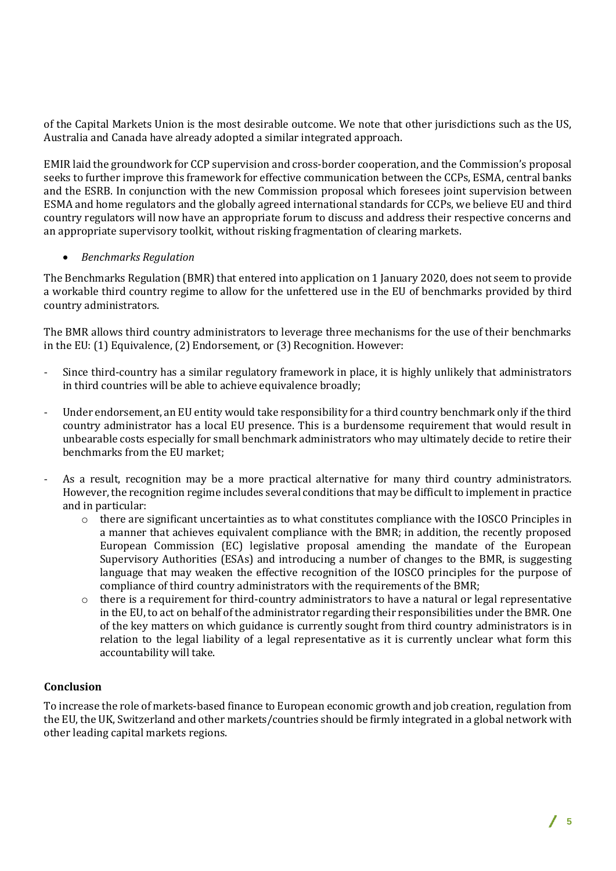of the Capital Markets Union is the most desirable outcome. We note that other jurisdictions such as the US, Australia and Canada have already adopted a similar integrated approach.

EMIR laid the groundwork for CCP supervision and cross-border cooperation, and the Commission's proposal seeks to further improve this framework for effective communication between the CCPs, ESMA, central banks and the ESRB. In conjunction with the new Commission proposal which foresees joint supervision between ESMA and home regulators and the globally agreed international standards for CCPs, we believe EU and third country regulators will now have an appropriate forum to discuss and address their respective concerns and an appropriate supervisory toolkit, without risking fragmentation of clearing markets.

### • *Benchmarks Regulation*

The Benchmarks Regulation (BMR) that entered into application on 1 January 2020, does not seem to provide a workable third country regime to allow for the unfettered use in the EU of benchmarks provided by third country administrators.

The BMR allows third country administrators to leverage three mechanisms for the use of their benchmarks in the EU: (1) Equivalence, (2) Endorsement, or (3) Recognition. However:

- Since third-country has a similar regulatory framework in place, it is highly unlikely that administrators in third countries will be able to achieve equivalence broadly;
- Under endorsement, an EU entity would take responsibility for a third country benchmark only if the third country administrator has a local EU presence. This is a burdensome requirement that would result in unbearable costs especially for small benchmark administrators who may ultimately decide to retire their benchmarks from the EU market;
- As a result, recognition may be a more practical alternative for many third country administrators. However, the recognition regime includes several conditions that may be difficult to implement in practice and in particular:
	- $\circ$  there are significant uncertainties as to what constitutes compliance with the IOSCO Principles in a manner that achieves equivalent compliance with the BMR; in addition, the recently proposed European Commission (EC) legislative proposal amending the mandate of the European Supervisory Authorities (ESAs) and introducing a number of changes to the BMR, is suggesting language that may weaken the effective recognition of the IOSCO principles for the purpose of compliance of third country administrators with the requirements of the BMR;
	- o there is a requirement for third-country administrators to have a natural or legal representative in the EU, to act on behalf of the administrator regarding their responsibilities under the BMR. One of the key matters on which guidance is currently sought from third country administrators is in relation to the legal liability of a legal representative as it is currently unclear what form this accountability will take.

#### **Conclusion**

To increase the role of markets-based finance to European economic growth and job creation, regulation from the EU, the UK, Switzerland and other markets/countries should be firmly integrated in a global network with other leading capital markets regions.